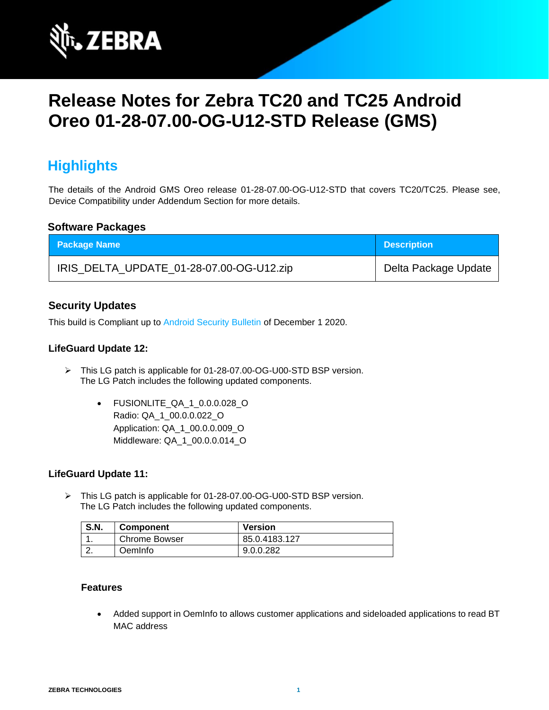

# **Release Notes for Zebra TC20 and TC25 Android Oreo 01-28-07.00-OG-U12-STD Release (GMS)**

# **Highlights**

The details of the Android GMS Oreo release 01-28-07.00-OG-U12-STD that covers TC20/TC25. Please see, Device Compatibility under Addendum Section for more details.

#### **Software Packages**

| <b>Package Name</b>                      | <b>Description</b>   |
|------------------------------------------|----------------------|
| IRIS_DELTA_UPDATE_01-28-07.00-OG-U12.zip | Delta Package Update |

### **Security Updates**

This build is Compliant up to [Android Security Bulletin](https://source.android.com/security/bulletin/) of December 1 2020.

#### **LifeGuard Update 12:**

- ➢ This LG patch is applicable for 01-28-07.00-OG-U00-STD BSP version. The LG Patch includes the following updated components.
	- FUSIONLITE\_QA\_1\_0.0.0.028\_O Radio: QA\_1\_00.0.0.022\_O Application: QA\_1\_00.0.0.009\_O Middleware: QA\_1\_00.0.0.014\_O

#### **LifeGuard Update 11:**

➢ This LG patch is applicable for 01-28-07.00-OG-U00-STD BSP version. The LG Patch includes the following updated components.

| <b>S.N.</b> | <b>Component</b> | <b>Version</b> |
|-------------|------------------|----------------|
|             | Chrome Bowser    | 85.0.4183.127  |
| <u>.</u> .  | OemInfo          | 9.0.0.282      |

#### **Features**

• Added support in OemInfo to allows customer applications and sideloaded applications to read BT MAC address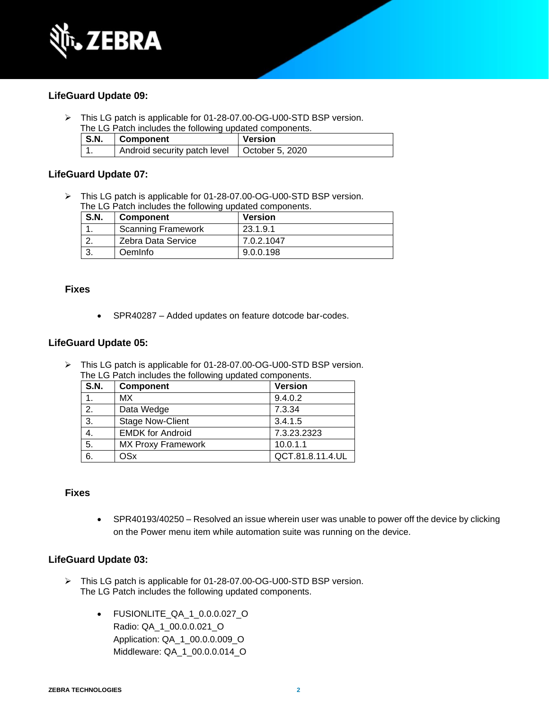

#### **LifeGuard Update 09:**

➢ This LG patch is applicable for 01-28-07.00-OG-U00-STD BSP version. The LG Patch includes the following updated components.

| S.N. | <b>Component</b>             | Version         |
|------|------------------------------|-----------------|
|      | Android security patch level | October 5, 2020 |

#### **LifeGuard Update 07:**

➢ This LG patch is applicable for 01-28-07.00-OG-U00-STD BSP version. The LG Patch includes the following updated components.

| <b>S.N.</b> | <b>Component</b>          | <b>Version</b> |
|-------------|---------------------------|----------------|
|             | <b>Scanning Framework</b> | 23.1.9.1       |
|             | Zebra Data Service        | 7.0.2.1047     |
|             | <b>Oemlnfo</b>            | 9.0.0.198      |

#### **Fixes**

• SPR40287 – Added updates on feature dotcode bar-codes.

#### **LifeGuard Update 05:**

➢ This LG patch is applicable for 01-28-07.00-OG-U00-STD BSP version. The LG Patch includes the following updated components.

| <b>S.N.</b>      | <b>Component</b>          | <b>Version</b>   |
|------------------|---------------------------|------------------|
| 1.               | МX                        | 9.4.0.2          |
| 2.               | Data Wedge                | 7.3.34           |
| $\overline{3}$ . | <b>Stage Now-Client</b>   | 3.4.1.5          |
| 4.               | <b>EMDK for Android</b>   | 7.3.23.2323      |
| $\overline{5}$ . | <b>MX Proxy Framework</b> | 10.0.1.1         |
| $\overline{6}$   | <b>OSx</b>                | QCT.81.8.11.4.UL |

#### **Fixes**

• SPR40193/40250 – Resolved an issue wherein user was unable to power off the device by clicking on the Power menu item while automation suite was running on the device.

#### **LifeGuard Update 03:**

- ➢ This LG patch is applicable for 01-28-07.00-OG-U00-STD BSP version. The LG Patch includes the following updated components.
	- FUSIONLITE\_QA\_1\_0.0.0.027\_O Radio: QA\_1\_00.0.0.021\_O Application: QA\_1\_00.0.0.009\_O Middleware: QA\_1\_00.0.0.014\_O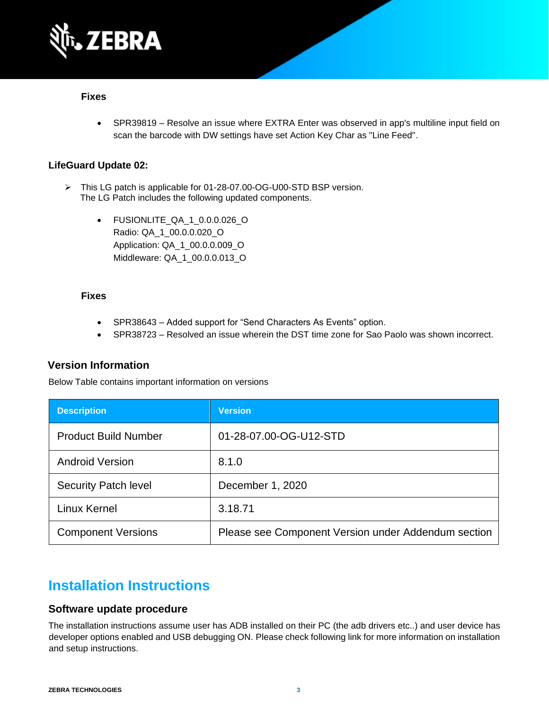

#### **Fixes**

• SPR39819 – Resolve an issue where EXTRA Enter was observed in app's multiline input field on scan the barcode with DW settings have set Action Key Char as "Line Feed".

#### **LifeGuard Update 02:**

- ➢ This LG patch is applicable for 01-28-07.00-OG-U00-STD BSP version. The LG Patch includes the following updated components.
	- FUSIONLITE\_QA\_1\_0.0.0.026\_O Radio: QA\_1\_00.0.0.020\_O Application: QA\_1\_00.0.0.009\_O Middleware: QA\_1\_00.0.0.013\_O

#### **Fixes**

- SPR38643 Added support for "Send Characters As Events" option.
- SPR38723 Resolved an issue wherein the DST time zone for Sao Paolo was shown incorrect.

#### **Version Information**

Below Table contains important information on versions

| <b>Description</b>          | <b>Version</b>                                      |
|-----------------------------|-----------------------------------------------------|
| <b>Product Build Number</b> | 01-28-07.00-OG-U12-STD                              |
| <b>Android Version</b>      | 8.1.0                                               |
| <b>Security Patch level</b> | December 1, 2020                                    |
| Linux Kernel                | 3.18.71                                             |
| <b>Component Versions</b>   | Please see Component Version under Addendum section |

# **Installation Instructions**

#### **Software update procedure**

The installation instructions assume user has ADB installed on their PC (the adb drivers etc..) and user device has developer options enabled and USB debugging ON. Please check following link for more information on installation and setup instructions.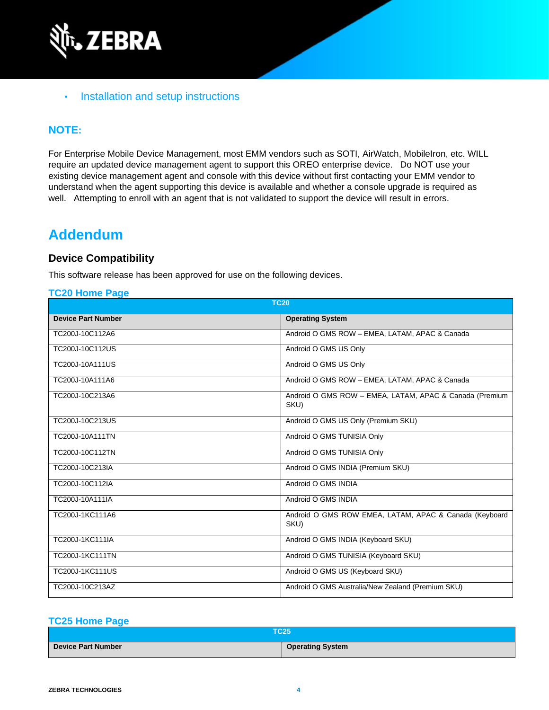

### • [Installation and setup instructions](https://www.zebra.com/content/dam/zebra_new_ia/en-us/software/operating-system/tc20-operating-system/Android-O-OS-Update-TC20-and-TC25-GMS.pdf)

### **NOTE:**

For Enterprise Mobile Device Management, most EMM vendors such as SOTI, AirWatch, MobileIron, etc. WILL require an updated device management agent to support this OREO enterprise device. Do NOT use your existing device management agent and console with this device without first contacting your EMM vendor to understand when the agent supporting this device is available and whether a console upgrade is required as well. Attempting to enroll with an agent that is not validated to support the device will result in errors.

## **Addendum**

### **Device Compatibility**

This software release has been approved for use on the following devices.

#### **[TC20 Home Page](https://www.zebra.com/us/en/support-downloads/software/operating-system/tc20-operating-system.html)**

| <b>TC20</b>               |                                                                 |  |
|---------------------------|-----------------------------------------------------------------|--|
| <b>Device Part Number</b> | <b>Operating System</b>                                         |  |
| TC200J-10C112A6           | Android O GMS ROW - EMEA, LATAM, APAC & Canada                  |  |
| TC200J-10C112US           | Android O GMS US Only                                           |  |
| TC200J-10A111US           | Android O GMS US Only                                           |  |
| TC200J-10A111A6           | Android O GMS ROW - EMEA, LATAM, APAC & Canada                  |  |
| TC200J-10C213A6           | Android O GMS ROW - EMEA, LATAM, APAC & Canada (Premium<br>SKU) |  |
| TC200J-10C213US           | Android O GMS US Only (Premium SKU)                             |  |
| TC200J-10A111TN           | Android O GMS TUNISIA Only                                      |  |
| TC200J-10C112TN           | Android O GMS TUNISIA Only                                      |  |
| TC200J-10C213IA           | Android O GMS INDIA (Premium SKU)                               |  |
| TC200J-10C112IA           | Android O GMS INDIA                                             |  |
| TC200J-10A111IA           | Android O GMS INDIA                                             |  |
| TC200J-1KC111A6           | Android O GMS ROW EMEA, LATAM, APAC & Canada (Keyboard<br>SKU)  |  |
| TC200J-1KC111IA           | Android O GMS INDIA (Keyboard SKU)                              |  |
| <b>TC200J-1KC111TN</b>    | Android O GMS TUNISIA (Keyboard SKU)                            |  |
| <b>TC200J-1KC111US</b>    | Android O GMS US (Keyboard SKU)                                 |  |
| TC200J-10C213AZ           | Android O GMS Australia/New Zealand (Premium SKU)               |  |

#### **[TC25 Home Page](https://www.zebra.com/us/en/support-downloads/software/operating-system/tc25-operating-system.html)**

| TC25'              |                         |  |
|--------------------|-------------------------|--|
| Device Part Number | <b>Operating System</b> |  |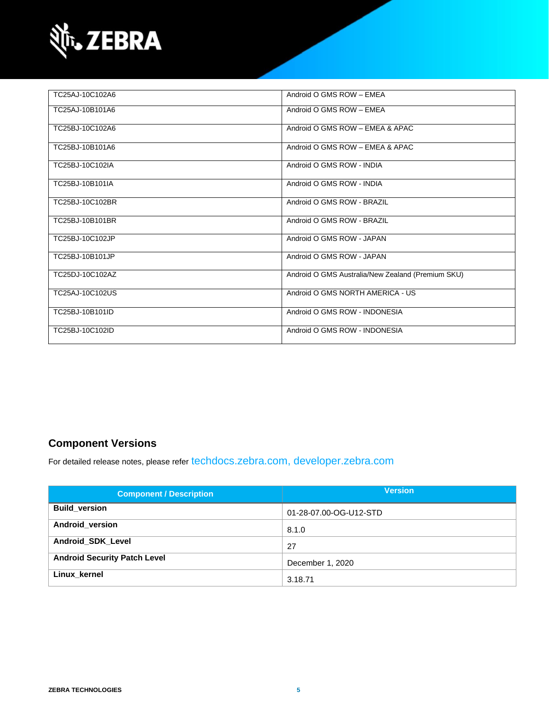

| TC25AJ-10C102A6 | Android O GMS ROW - EMEA                          |
|-----------------|---------------------------------------------------|
| TC25AJ-10B101A6 | Android O GMS ROW - EMEA                          |
| TC25BJ-10C102A6 | Android O GMS ROW - EMEA & APAC                   |
| TC25BJ-10B101A6 | Android O GMS ROW - EMEA & APAC                   |
| TC25BJ-10C102IA | Android O GMS ROW - INDIA                         |
| TC25BJ-10B101IA | Android O GMS ROW - INDIA                         |
| TC25BJ-10C102BR | Android O GMS ROW - BRAZIL                        |
| TC25BJ-10B101BR | Android O GMS ROW - BRAZIL                        |
| TC25BJ-10C102JP | Android O GMS ROW - JAPAN                         |
| TC25BJ-10B101JP | Android O GMS ROW - JAPAN                         |
| TC25DJ-10C102AZ | Android O GMS Australia/New Zealand (Premium SKU) |
| TC25AJ-10C102US | Android O GMS NORTH AMERICA - US                  |
| TC25BJ-10B101ID | Android O GMS ROW - INDONESIA                     |
| TC25BJ-10C102ID | Android O GMS ROW - INDONESIA                     |

### **Component Versions**

For detailed release notes, please refer [techdocs.zebra.com,](https://techdocs.zebra.com/) [developer.zebra.com](https://developer.zebra.com/)

| <b>Component / Description</b>      | <b>Version</b>         |
|-------------------------------------|------------------------|
| <b>Build version</b>                | 01-28-07.00-OG-U12-STD |
| Android version                     | 8.1.0                  |
| <b>Android SDK Level</b>            | 27                     |
| <b>Android Security Patch Level</b> | December 1, 2020       |
| Linux kernel                        | 3.18.71                |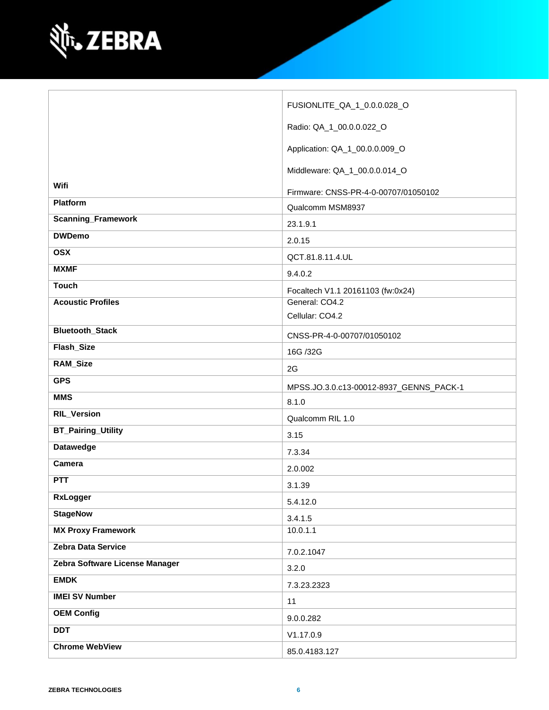

|                                | FUSIONLITE_QA_1_0.0.0.028_O                         |
|--------------------------------|-----------------------------------------------------|
|                                | Radio: QA_1_00.0.0.022_O                            |
|                                | Application: QA_1_00.0.0.009_O                      |
|                                | Middleware: QA_1_00.0.0.014_O                       |
| Wifi                           | Firmware: CNSS-PR-4-0-00707/01050102                |
| <b>Platform</b>                | Qualcomm MSM8937                                    |
| <b>Scanning_Framework</b>      | 23.1.9.1                                            |
| <b>DWDemo</b>                  |                                                     |
| <b>OSX</b>                     | 2.0.15                                              |
| <b>MXMF</b>                    | QCT.81.8.11.4.UL                                    |
| <b>Touch</b>                   | 9.4.0.2                                             |
| <b>Acoustic Profiles</b>       | Focaltech V1.1 20161103 (fw:0x24)<br>General: CO4.2 |
|                                | Cellular: CO4.2                                     |
| <b>Bluetooth_Stack</b>         |                                                     |
|                                | CNSS-PR-4-0-00707/01050102                          |
| Flash_Size                     | 16G /32G                                            |
| <b>RAM_Size</b>                | 2G                                                  |
| <b>GPS</b>                     | MPSS.JO.3.0.c13-00012-8937_GENNS_PACK-1             |
| <b>MMS</b>                     | 8.1.0                                               |
| <b>RIL_Version</b>             | Qualcomm RIL 1.0                                    |
| <b>BT_Pairing_Utility</b>      | 3.15                                                |
| <b>Datawedge</b>               | 7.3.34                                              |
| Camera                         | 2.0.002                                             |
| <b>PTT</b>                     | 3.1.39                                              |
|                                |                                                     |
| RxLogger                       |                                                     |
|                                | 5.4.12.0                                            |
| <b>StageNow</b>                | 3.4.1.5                                             |
| <b>MX Proxy Framework</b>      | 10.0.1.1                                            |
| Zebra Data Service             | 7.0.2.1047                                          |
| Zebra Software License Manager | 3.2.0                                               |
| <b>EMDK</b>                    | 7.3.23.2323                                         |
| <b>IMEI SV Number</b>          | 11                                                  |
| <b>OEM Config</b>              | 9.0.0.282                                           |
| <b>DDT</b>                     | V1.17.0.9                                           |